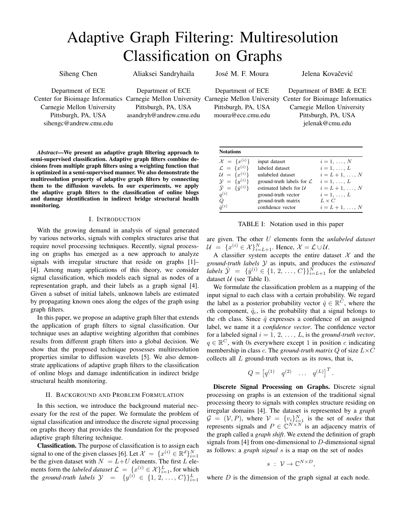# Adaptive Graph Filtering: Multiresolution Classification on Graphs

Siheng Chen

Aliaksei Sandryhaila

José M. F. Moura

Jelena Kovačević

Department of ECE Carnegie Mellon University Pittsburgh, PA, USA sihengc@andrew.cmu.edu

Department of ECE Pittsburgh, PA, USA asandryh@andrew.cmu.edu

Department of ECE Pittsburgh, PA, USA moura@ece.cmu.edu

Center for Bioimage Informatics Carnegie Mellon University Carnegie Mellon University Center for Bioimage Informatics Department of BME & ECE Carnegie Mellon University Pittsburgh, PA, USA jelenak@cmu.edu

*Abstract*—We present an adaptive graph filtering approach to semi-supervised classification. Adaptive graph filters combine decisions from multiple graph filters using a weighting function that is optimized in a semi-supervised manner. We also demonstrate the multiresolution property of adaptive graph filters by connecting them to the diffusion wavelets. In our experiments, we apply the adaptive graph filters to the classification of online blogs and damage identification in indirect bridge structural health monitoring.

## I. INTRODUCTION

With the growing demand in analysis of signal generated by various networks, signals with complex structures arise that require novel processing techniques. Recently, signal processing on graphs has emerged as a new approach to analyze signals with irregular structure that reside on graphs [1]– [4]. Among many applications of this theory, we consider signal classification, which models each signal as nodes of a representation graph, and their labels as a graph signal [4]. Given a subset of initial labels, unknown labels are estimated by propagating known ones along the edges of the graph using graph filters.

In this paper, we propose an adaptive graph filter that extends the application of graph filters to signal classification. Our technique uses an adaptive weighting algorithm that combines results from different graph filters into a global decision. We show that the proposed technique possesses multiresolution properties similar to diffusion wavelets [5]. We also demonstrate applications of adaptive graph filters to the classification of online blogs and damage indentification in indirect bridge structural health monitoring.

### II. BACKGROUND AND PROBLEM FORMULATION

In this section, we introduce the background material necessary for the rest of the paper. We formulate the problem of signal classification and introduce the discrete signal processing on graphs theory that provides the foundation for the proposed adaptive graph filtering technique.

Classification. The purpose of classification is to assign each signal to one of the given classes [6]. Let  $\mathcal{X} = \{x^{(i)} \in \mathbb{R}^d\}_{i=1}^N$ be the given dataset with  $N = L + U$  elements. The first L elements form the *labeled dataset*  $\mathcal{L} = \{x^{(i)} \in \mathcal{X}\}_{i=1}^L$ , for which the *ground-truth labels*  $\mathcal{Y} = \{y^{(i)} \in \{1, 2, ..., C\}\}_{i=1}^L$ 

| <b>Notations</b>                      |                                      |                  |
|---------------------------------------|--------------------------------------|------------------|
| $\mathcal{X} = \{x^{(i)}\}$           | input dataset                        | $i=1,\ldots,N$   |
| $\mathcal{L} = \{x^{(i)}\}$           | labeled dataset                      | $i=1,\ldots,L$   |
| $\mathcal{U} = \{x^{(i)}\}$           | unlabeled dataset                    | $i=L+1,\ldots,N$ |
| $\mathcal{Y} = \{y^{(i)}\}$           | ground-truth labels for $\mathcal L$ | $i=1,\ldots,L$   |
| $\hat{\mathcal{Y}} = {\hat{y}^{(i)}}$ | estimated labels for $U$             | $i=L+1,\ldots,N$ |
| $q^{(i)}$                             | ground-truth vector                  | $i=1,\ldots,L$   |
| Q                                     | ground-truth matrix                  | $L \times C$     |
| $\hat{a}^{(i)}$                       | confidence vector                    | $i=L+1,\ldots,N$ |

TABLE I: Notation used in this paper

are given. The other U elements form the *unlabeled dataset*  $\mathcal{U} = \{x^{(i)} \in \mathcal{X}\}_{i=L+1}^N$ . Hence,  $\mathcal{X} = \mathcal{L} \cup \mathcal{U}$ .

A classifier system accepts the entire dataset  $X$  and the *ground-truth labels* Y as inputs, and produces the *estimated labels*  $\hat{y} = \{\hat{y}^{(i)} \in \{1, 2, ..., C\}\}_{i=L+1}^{\tilde{N}}$  for the unlabeled dataset  $U$  (see Table I).

We formulate the classification problem as a mapping of the input signal to each class with a certain probability. We regard the label as a posterior probability vector  $\hat{q} \in \mathbb{R}^{\tilde{C}}$ , where the cth component,  $\hat{q}_c$ , is the probability that a signal belongs to the cth class. Since  $\hat{q}$  expresses a confidence of an assigned label, we name it a *confidence vector*. The confidence vector for a labeled signal  $i = 1, 2, ..., L$ , is the *ground-truth vector*,  $q \in \mathbb{R}^C$ , with 0s everywhere except 1 in position c indicating membership in class c. The *ground-truth matrix*  $Q$  of size  $L \times C$ collects all  $L$  ground-truth vectors as its rows, that is,

$$
Q = \begin{bmatrix} q^{(1)} & q^{(2)} & \dots & q^{(L)} \end{bmatrix}^T
$$

.

Discrete Signal Processing on Graphs. Discrete signal processing on graphs is an extension of the traditional signal processing theory to signals with complex structure residing on irregular domains [4]. The dataset is represented by a *graph*  $G = (V, P)$ , where  $V = \{v_i\}_{i=1}^N$  is the set of *nodes* that represents signals and  $P \in \mathbb{C}^{N \times N}$  is an adjacency matrix of the graph called a *graph shift*. We extend the definition of graph signals from [4] from one-dimensional to D-dimensional signal as follows: a *graph signal* s is a map on the set of nodes

$$
s \; : \; \mathcal{V} \to \mathbb{C}^{N \times D},
$$

where  $D$  is the dimension of the graph signal at each node.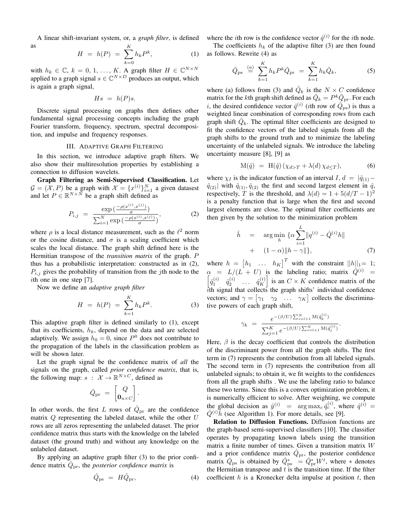A linear shift-invariant system, or, a *graph filter*, is defined as K

$$
H = h(P) = \sum_{k=0} h_k P^k,
$$
 (1)

with  $h_k \in \mathbb{C}$ ,  $k = 0, 1, ..., K$ . A graph filter  $H \in \mathbb{C}^{N \times N}$ applied to a graph signal  $s \in \mathbb{C}^{N \times D}$  produces an output, which is again a graph signal,

$$
Hs = h(P)s.
$$

Discrete signal processing on graphs then defines other fundamental signal processing concepts including the graph Fourier transform, frequency, spectrum, spectral decomposition, and impulse and frequency responses.

#### III. ADAPTIVE GRAPH FILTERING

In this section, we introduce adaptive graph filters. We also show their multiresolution properties by establishing a connection to diffusion wavelets.

Graph Filtering as Semi-Supervised Classification. Let  $\mathcal{G} = (\mathcal{X}, P)$  be a graph with  $\mathcal{X} = \{x^{(i)}\}_{i=1}^N$  a given datasest and let  $P \in \mathbb{R}^{N \times \bar{N}}$  be a graph shift defined as

$$
P_{i,j} = \frac{\exp\left(\frac{-\rho(x^{(i)}, x^{(j)})}{\sigma}\right)}{\sum_{i=1}^{N} \exp\left(\frac{-\rho(x^{(i)}, x^{(j)})}{\sigma}\right)},
$$
(2)

where  $\rho$  is a local distance measurement, such as the  $\ell^2$  norm or the cosine distance, and  $\sigma$  is a scaling coefficient which scales the local distance. The graph shift defined here is the Hermitian transpose of the *transition matrix* of the graph. P thus has a probabilistic interpretation: constructed as in (2),  $P_{i,j}$  gives the probability of transition from the jth node to the ith one in one step [7].

Now we define an *adaptive graph filter*

$$
H = h(P) = \sum_{k=1}^{K} h_k P^k.
$$
 (3)

This adaptive graph filter is defined similarly to (1), except that its coefficients,  $h_k$ , depend on the data and are selected adaptively. We assign  $h_0 = 0$ , since  $P^0$  does not contribute to the propagation of the labels in the classification problem as will be shown later.

Let the graph signal be the confidence matrix of *all* the signals on the graph, called *prior confidence matrix*, that is, the following map:  $s : \mathcal{X} \to \mathbb{R}^{N \times C}$ , defined as

$$
\hat{Q}_{\mathrm{pr}}\ =\ \begin{bmatrix} Q \\ \mathbf{0}_{u\times C} \end{bmatrix}.
$$

In other words, the first L rows of  $\hat{Q}_{\text{pr}}$  are the confidence matrix  $Q$  representing the labeled dataset, while the other  $U$ rows are all zeros representing the unlabeled dataset. The prior confidence matrix thus starts with the knowledge on the labeled dataset (the ground truth) and without any knowledge on the unlabeled dataset.

By applying an adaptive graph filter (3) to the prior confidence matrix  $\hat{Q}_{\text{pr}}$ , the *posterior confidence matrix* is

$$
\hat{Q}_{\rm ps} = H\hat{Q}_{\rm pr},\tag{4}
$$

where the *i*th row is the confidence vector  $\hat{q}^{(i)}$  for the *i*th node.

The coefficients  $h_k$  of the adaptive filter (3) are then found as follows. Rewrite (4) as

$$
\hat{Q}_{\text{ps}} \stackrel{(a)}{=} \sum_{k=1}^{K} h_k P^k \hat{Q}_{\text{pr}} = \sum_{k=1}^{K} h_k \hat{Q}_k, \tag{5}
$$

where (a) follows from (3) and  $\hat{Q}_k$  is the  $N \times C$  confidence matrix for the *k*th graph shift defined as  $\hat{Q}_k = P^k \hat{Q}_{\text{pr}}$ . For each *i*, the desired confidence vector  $\hat{q}^{(i)}$  (*i*th row of  $\hat{Q}_{\text{ps}}$ ) is thus a weighted linear combination of corresponding rows from each graph shift  $\hat{Q}_k$ . The optimal filter coefficients are designed to fit the confidence vectors of the labeled signals from all the graph shifts to the ground truth and to minimize the labeling uncertainty of the unlabeled signals. We introduce the labeling uncertainty measure [8], [9] as

$$
M(\hat{q}) = H(\hat{q})\left(\chi_{d>T} + \lambda(d)\,\chi_{d\leq T}\right),\tag{6}
$$

where  $\chi_I$  is the indicator function of an interval I,  $d = |\hat{q}_{(1)} - \hat{q}_{(2)}|$  $\hat{q}_{(2)}$  with  $\hat{q}_{(1)}, \hat{q}_{(2)}$  the first and second largest element in  $\hat{q}$ , respectively, T is the threshold, and  $\lambda(d) = 1 + 5(d/T - 1)^2$ is a penalty function that is large when the first and second largest elements are close. The optimal filter coefficients are then given by the solution to the minimization problem

$$
\hat{h} = \arg \min_{h} \{ \alpha \sum_{i=1}^{L} ||q^{(i)} - \hat{Q}^{(i)}h|| + (1 - \alpha) ||h - \gamma|| \},
$$
\n(7)

where  $h = [h_1 \dots h_K]^T$  with the constraint  $||h||_1 = 1$ ;  $\alpha = L/(L + U)$  is the labeling ratio; matrix  $\hat{Q}^{(i)}$  =  $\begin{bmatrix} \hat{q}_1^{(i)} & \hat{q}_2^{(i)} & \dots & \hat{q}_K^{(i)} \end{bmatrix}$  $\begin{bmatrix} i \ i \end{bmatrix}$  is an  $C \times K$  confidence matrix of the  $i$ th signal that collects the graph shifts' individual confidence vectors; and  $\gamma = [\gamma_1 \quad \gamma_2 \quad \dots \quad \gamma_K]$  collects the discriminative powers of each graph shift,

$$
\gamma_k \ = \ \frac{e^{-(\beta/U)\sum_{i=l+1}^N \mathcal{M}(\hat{q}_k^{(i)})}}{\sum_{j=1}^K e^{-(\beta/U)\sum_{i=l+1}^N \mathcal{M}(\hat{q}_j^{(i)})}}.
$$

Here,  $\beta$  is the decay coefficient that controls the distribution of the discriminant power from all the graph shifts. The first term in (7) represents the contribution from all labeled signals. The second term in (7) represents the contribution from all unlabeled signals; to obtain it, we fit weights to the confidences from all the graph shifts . We use the labeling ratio to balance these two terms. Since this is a convex optimization problem, it is numerically efficient to solve. After weighting, we compute the global decision as  $\hat{y}^{(i)} = \arg \max_{c} \hat{q}_c^{(i)}$ , where  $\hat{q}^{(i)} =$  $\hat{Q}^{(i)}\hat{h}$  (see Algorithm 1). For more details, see [9].

Relation to Diffusion Functions. Diffusion functions are the graph-based semi-supervised classifiers [10]. The classifier operates by propagating known labels using the transition matrix a finite number of times. Given a transition matrix W and a prior confidence matrix  $\hat{Q}_{\text{pr}}$ , the posterior confidence matrix  $\hat{Q}_{\text{ps}}$  is obtained by  $\hat{Q}_{\text{ps}}^* = \hat{Q}_{\text{pr}}^* W^t$ , where  $*$  denotes the Hermitian transpose and  $t$  is the transition time. If the filter coefficient  $h$  is a Kronecker delta impulse at position  $t$ , then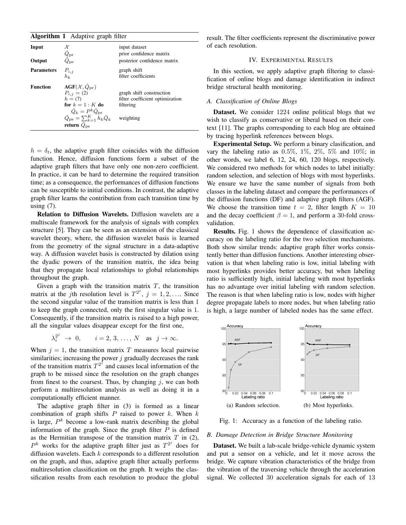| <b>Algorithm 1</b> Adaptive graph filter |                                                                                                                                                                                                                                                                           |                                                                                       |  |  |  |
|------------------------------------------|---------------------------------------------------------------------------------------------------------------------------------------------------------------------------------------------------------------------------------------------------------------------------|---------------------------------------------------------------------------------------|--|--|--|
| Input                                    | χ<br>$\hat{Q}_\mathrm{pr}$                                                                                                                                                                                                                                                | input dataset<br>prior confidence matrix                                              |  |  |  |
| Output                                   |                                                                                                                                                                                                                                                                           | posterior confidence matrix                                                           |  |  |  |
| <b>Parameters</b>                        | $P_{i,j}$<br>$h_k$                                                                                                                                                                                                                                                        | graph shift<br>filter coefficients                                                    |  |  |  |
| <b>Function</b>                          | $\textbf{AGF}(\mathcal{X},\hat{Q}_{\text{pr}})$<br>$P_{i,j} = (2)$<br>$h = (7)$<br>for $k = 1: K$ do<br>$\label{eq:Qk} \begin{aligned} \hat{Q}_k &= P^k \hat{Q}_{\text{pr}} \\ \hat{Q}_{\text{ps}} &= \sum_{k=1}^K h_k \hat{Q}_k \end{aligned}$<br>return $Q_{\text{ps}}$ | graph shift construction<br>filter coefficient optimization<br>filtering<br>weighting |  |  |  |

 $h = \delta_t$ , the adaptive graph filter coincides with the diffusion function. Hence, diffusion functions form a subset of the adaptive graph filters that have only one non-zero coefficient. In practice, it can be hard to determine the required transition time; as a consequence, the performances of diffusion functions can be susceptible to initial conditions. In contrast, the adaptive graph filter learns the contribution from each transition time by using  $(7)$ .

Relation to Diffusion Wavelets. Diffusion wavelets are a multiscale framework for the analysis of signals with complex structure [5]. They can be seen as an extension of the classical wavelet theory, where, the diffusion wavelet basis is learned from the geometry of the signal structure in a data-adaptive way. A diffusion wavelet basis is constructed by dilation using the dyadic powers of the transition matrix, the idea being that they propagate local relationships to global relationships throughout the graph.

Given a graph with the transition matrix  $T$ , the transition matrix at the j<sup>th</sup> resolution level is  $T^{2^j}$ ,  $j = 1, 2, \ldots$  Since the second singular value of the transition matrix is less than 1 to keep the graph connected, only the first singular value is 1. Consequently, if the transition matrix is raised to a high power, all the singular values disappear except for the first one,

$$
\lambda_i^{2^j} \rightarrow 0, \qquad i = 2, 3, \ldots, N \quad \text{as} \quad j \rightarrow \infty.
$$

When  $j = 1$ , the transition matrix T measures local pairwise similarities; increasing the power  $j$  gradually decreases the rank of the transition matrix  $T^{2^j}$  and causes local information of the graph to be missed since the resolution on the graph changes from finest to the coarsest. Thus, by changing  $j$ , we can both perform a multiresolution analysis as well as doing it in a computationally efficient manner.

The adaptive graph filter in (3) is formed as a linear combination of graph shifts  $P$  raised to power  $k$ . When  $k$ is large,  $P^k$  become a low-rank matrix describing the global information of the graph. Since the graph filter  $P$  is defined as the Hermitian transpose of the transition matrix  $T$  in (2),  $P^k$  works for the adaptive graph filter just as  $T^{2^j}$  does for diffusion wavelets. Each k corresponds to a different resolution on the graph, and thus, adaptive graph filter actually performs multiresolution classification on the graph. It weighs the classification results from each resolution to produce the global result. The filter coefficients represent the discriminative power of each resolution.

# IV. EXPERIMENTAL RESULTS

In this section, we apply adaptive graph filtering to classification of online blogs and damage identification in indirect bridge structural health monitoring.

## *A. Classification of Online Blogs*

Dataset. We consider 1224 online political blogs that we wish to classify as conservative or liberal based on their context [11]. The graphs corresponding to each blog are obtained by tracing hyperlink references between blogs.

Experimental Setup. We perform a binary clasification, and vary the labeling ratio as  $0.5\%, 1\%, 2\%, 5\%$  and  $10\%$ ; in other words, we label 6, 12, 24, 60, 120 blogs, respectively. We considered two methods for which nodes to label initially: random selection, and selection of blogs with most hyperlinks. We ensure we have the same number of signals from both classes in the labeling dataset and compare the performances of the diffusion functions (DF) and adaptive graph filters (AGF). We choose the transition time  $t = 2$ , filter length  $K = 10$ and the decay coefficient  $\beta = 1$ , and perform a 30-fold crossvalidation.

Results. Fig. 1 shows the dependence of classification accuracy on the labeling ratio for the two selection mechanisms. Both show similar trends: adaptive graph filter works consistently better than diffusion functions. Another interesting observation is that when labeling ratio is low, initial labeling with most hyperlinks provides better accuracy, but when labeling ratio is sufficiently high, initial labeling with most hyperlinks has no advantage over initial labeling with random selection. The reason is that when labeling ratio is low, nodes with higher degree propagate labels to more nodes, but when labeling ratio is high, a large number of labeled nodes has the same effect.



Fig. 1: Accuracy as a function of the labeling ratio.

## *B. Damage Detection in Bridge Structure Monitoring*

Dataset. We built a lab-scale bridge-vehicle dynamic system and put a sensor on a vehicle, and let it move across the bridge. We capture vibration characteristics of the bridge from the vibration of the traversing vehicle through the acceleration signal. We collected 30 acceleration signals for each of 13